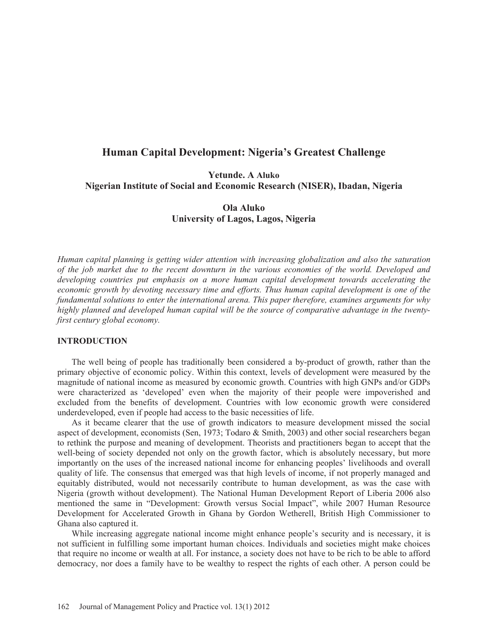# **Human Capital Development: Nigeria's Greatest Challenge**

**Yetunde. A Aluko Nigerian Institute of Social and Economic Research (NISER), Ibadan, Nigeria** 

> **Ola Aluko University of Lagos, Lagos, Nigeria**

*Human capital planning is getting wider attention with increasing globalization and also the saturation of the job market due to the recent downturn in the various economies of the world. Developed and developing countries put emphasis on a more human capital development towards accelerating the economic growth by devoting necessary time and efforts. Thus human capital development is one of the fundamental solutions to enter the international arena. This paper therefore, examines arguments for why highly planned and developed human capital will be the source of comparative advantage in the twentyfirst century global economy.* 

# **INTRODUCTION**

The well being of people has traditionally been considered a by-product of growth, rather than the primary objective of economic policy. Within this context, levels of development were measured by the magnitude of national income as measured by economic growth. Countries with high GNPs and/or GDPs were characterized as 'developed' even when the majority of their people were impoverished and excluded from the benefits of development. Countries with low economic growth were considered underdeveloped, even if people had access to the basic necessities of life.

As it became clearer that the use of growth indicators to measure development missed the social aspect of development, economists (Sen, 1973; Todaro & Smith, 2003) and other social researchers began to rethink the purpose and meaning of development. Theorists and practitioners began to accept that the well-being of society depended not only on the growth factor, which is absolutely necessary, but more importantly on the uses of the increased national income for enhancing peoples' livelihoods and overall quality of life. The consensus that emerged was that high levels of income, if not properly managed and equitably distributed, would not necessarily contribute to human development, as was the case with Nigeria (growth without development). The National Human Development Report of Liberia 2006 also mentioned the same in "Development: Growth versus Social Impact", while 2007 Human Resource Development for Accelerated Growth in Ghana by Gordon Wetherell, British High Commissioner to Ghana also captured it.

While increasing aggregate national income might enhance people's security and is necessary, it is not sufficient in fulfilling some important human choices. Individuals and societies might make choices that require no income or wealth at all. For instance, a society does not have to be rich to be able to afford democracy, nor does a family have to be wealthy to respect the rights of each other. A person could be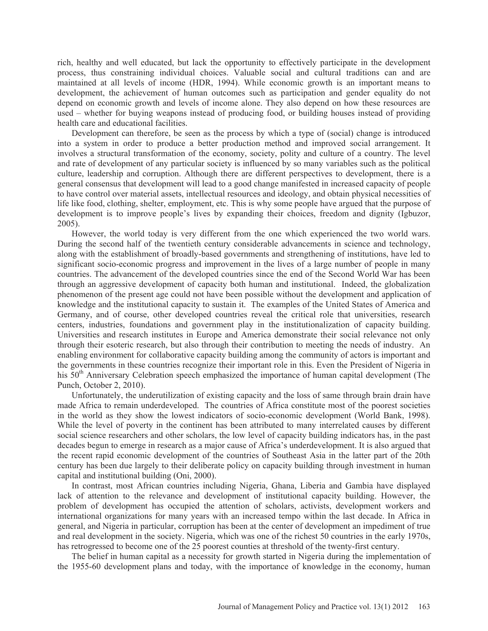rich, healthy and well educated, but lack the opportunity to effectively participate in the development process, thus constraining individual choices. Valuable social and cultural traditions can and are maintained at all levels of income (HDR, 1994). While economic growth is an important means to development, the achievement of human outcomes such as participation and gender equality do not depend on economic growth and levels of income alone. They also depend on how these resources are used – whether for buying weapons instead of producing food, or building houses instead of providing health care and educational facilities.

Development can therefore, be seen as the process by which a type of (social) change is introduced into a system in order to produce a better production method and improved social arrangement. It involves a structural transformation of the economy, society, polity and culture of a country. The level and rate of development of any particular society is influenced by so many variables such as the political culture, leadership and corruption. Although there are different perspectives to development, there is a general consensus that development will lead to a good change manifested in increased capacity of people to have control over material assets, intellectual resources and ideology, and obtain physical necessities of life like food, clothing, shelter, employment, etc. This is why some people have argued that the purpose of development is to improve people's lives by expanding their choices, freedom and dignity (Igbuzor, 2005).

However, the world today is very different from the one which experienced the two world wars. During the second half of the twentieth century considerable advancements in science and technology, along with the establishment of broadly-based governments and strengthening of institutions, have led to significant socio-economic progress and improvement in the lives of a large number of people in many countries. The advancement of the developed countries since the end of the Second World War has been through an aggressive development of capacity both human and institutional. Indeed, the globalization phenomenon of the present age could not have been possible without the development and application of knowledge and the institutional capacity to sustain it. The examples of the United States of America and Germany, and of course, other developed countries reveal the critical role that universities, research centers, industries, foundations and government play in the institutionalization of capacity building. Universities and research institutes in Europe and America demonstrate their social relevance not only through their esoteric research, but also through their contribution to meeting the needs of industry. An enabling environment for collaborative capacity building among the community of actors is important and the governments in these countries recognize their important role in this. Even the President of Nigeria in his  $50<sup>th</sup>$  Anniversary Celebration speech emphasized the importance of human capital development (The Punch, October 2, 2010).

Unfortunately, the underutilization of existing capacity and the loss of same through brain drain have made Africa to remain underdeveloped. The countries of Africa constitute most of the poorest societies in the world as they show the lowest indicators of socio-economic development (World Bank, 1998). While the level of poverty in the continent has been attributed to many interrelated causes by different social science researchers and other scholars, the low level of capacity building indicators has, in the past decades begun to emerge in research as a major cause of Africa's underdevelopment. It is also argued that the recent rapid economic development of the countries of Southeast Asia in the latter part of the 20th century has been due largely to their deliberate policy on capacity building through investment in human capital and institutional building (Oni, 2000).

In contrast, most African countries including Nigeria, Ghana, Liberia and Gambia have displayed lack of attention to the relevance and development of institutional capacity building. However, the problem of development has occupied the attention of scholars, activists, development workers and international organizations for many years with an increased tempo within the last decade. In Africa in general, and Nigeria in particular, corruption has been at the center of development an impediment of true and real development in the society. Nigeria, which was one of the richest 50 countries in the early 1970s, has retrogressed to become one of the 25 poorest counties at threshold of the twenty-first century.

The belief in human capital as a necessity for growth started in Nigeria during the implementation of the 1955-60 development plans and today, with the importance of knowledge in the economy, human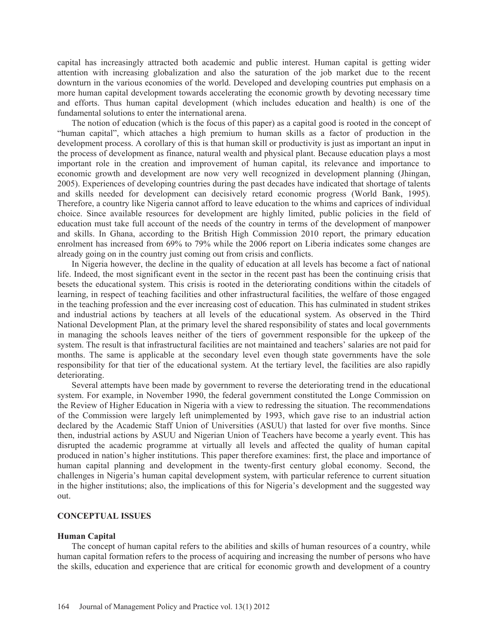capital has increasingly attracted both academic and public interest. Human capital is getting wider attention with increasing globalization and also the saturation of the job market due to the recent downturn in the various economies of the world. Developed and developing countries put emphasis on a more human capital development towards accelerating the economic growth by devoting necessary time and efforts. Thus human capital development (which includes education and health) is one of the fundamental solutions to enter the international arena.

The notion of education (which is the focus of this paper) as a capital good is rooted in the concept of "human capital", which attaches a high premium to human skills as a factor of production in the development process. A corollary of this is that human skill or productivity is just as important an input in the process of development as finance, natural wealth and physical plant. Because education plays a most important role in the creation and improvement of human capital, its relevance and importance to economic growth and development are now very well recognized in development planning (Jhingan, 2005). Experiences of developing countries during the past decades have indicated that shortage of talents and skills needed for development can decisively retard economic progress (World Bank, 1995). Therefore, a country like Nigeria cannot afford to leave education to the whims and caprices of individual choice. Since available resources for development are highly limited, public policies in the field of education must take full account of the needs of the country in terms of the development of manpower and skills. In Ghana, according to the British High Commission 2010 report, the primary education enrolment has increased from 69% to 79% while the 2006 report on Liberia indicates some changes are already going on in the country just coming out from crisis and conflicts.

In Nigeria however, the decline in the quality of education at all levels has become a fact of national life. Indeed, the most significant event in the sector in the recent past has been the continuing crisis that besets the educational system. This crisis is rooted in the deteriorating conditions within the citadels of learning, in respect of teaching facilities and other infrastructural facilities, the welfare of those engaged in the teaching profession and the ever increasing cost of education. This has culminated in student strikes and industrial actions by teachers at all levels of the educational system. As observed in the Third National Development Plan, at the primary level the shared responsibility of states and local governments in managing the schools leaves neither of the tiers of government responsible for the upkeep of the system. The result is that infrastructural facilities are not maintained and teachers' salaries are not paid for months. The same is applicable at the secondary level even though state governments have the sole responsibility for that tier of the educational system. At the tertiary level, the facilities are also rapidly deteriorating.

Several attempts have been made by government to reverse the deteriorating trend in the educational system. For example, in November 1990, the federal government constituted the Longe Commission on the Review of Higher Education in Nigeria with a view to redressing the situation. The recommendations of the Commission were largely left unimplemented by 1993, which gave rise to an industrial action declared by the Academic Staff Union of Universities (ASUU) that lasted for over five months. Since then, industrial actions by ASUU and Nigerian Union of Teachers have become a yearly event. This has disrupted the academic programme at virtually all levels and affected the quality of human capital produced in nation's higher institutions. This paper therefore examines: first, the place and importance of human capital planning and development in the twenty-first century global economy. Second, the challenges in Nigeria's human capital development system, with particular reference to current situation in the higher institutions; also, the implications of this for Nigeria's development and the suggested way out.

### **CONCEPTUAL ISSUES**

#### **Human Capital**

The concept of human capital refers to the abilities and skills of human resources of a country, while human capital formation refers to the process of acquiring and increasing the number of persons who have the skills, education and experience that are critical for economic growth and development of a country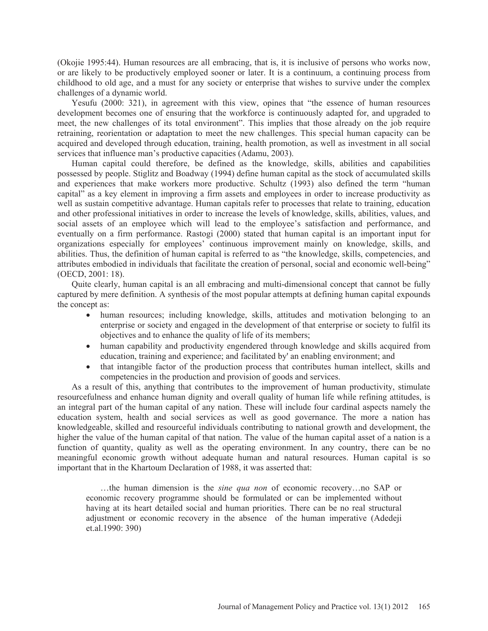(Okojie 1995:44). Human resources are all embracing, that is, it is inclusive of persons who works now, or are likely to be productively employed sooner or later. It is a continuum, a continuing process from childhood to old age, and a must for any society or enterprise that wishes to survive under the complex challenges of a dynamic world.

Yesufu (2000: 321), in agreement with this view, opines that "the essence of human resources development becomes one of ensuring that the workforce is continuously adapted for, and upgraded to meet, the new challenges of its total environment". This implies that those already on the job require retraining, reorientation or adaptation to meet the new challenges. This special human capacity can be acquired and developed through education, training, health promotion, as well as investment in all social services that influence man's productive capacities (Adamu, 2003).

Human capital could therefore, be defined as the knowledge, skills, abilities and capabilities possessed by people. Stiglitz and Boadway (1994) define human capital as the stock of accumulated skills and experiences that make workers more productive. Schultz (1993) also defined the term "human capital" as a key element in improving a firm assets and employees in order to increase productivity as well as sustain competitive advantage. Human capitals refer to processes that relate to training, education and other professional initiatives in order to increase the levels of knowledge, skills, abilities, values, and social assets of an employee which will lead to the employee's satisfaction and performance, and eventually on a firm performance. Rastogi (2000) stated that human capital is an important input for organizations especially for employees' continuous improvement mainly on knowledge, skills, and abilities. Thus, the definition of human capital is referred to as "the knowledge, skills, competencies, and attributes embodied in individuals that facilitate the creation of personal, social and economic well-being" (OECD, 2001: 18).

Quite clearly, human capital is an all embracing and multi-dimensional concept that cannot be fully captured by mere definition. A synthesis of the most popular attempts at defining human capital expounds the concept as:

- human resources; including knowledge, skills, attitudes and motivation belonging to an enterprise or society and engaged in the development of that enterprise or society to fulfil its objectives and to enhance the quality of life of its members;
- human capability and productivity engendered through knowledge and skills acquired from education, training and experience; and facilitated by' an enabling environment; and
- that intangible factor of the production process that contributes human intellect, skills and competencies in the production and provision of goods and services.

As a result of this, anything that contributes to the improvement of human productivity, stimulate resourcefulness and enhance human dignity and overall quality of human life while refining attitudes, is an integral part of the human capital of any nation. These will include four cardinal aspects namely the education system, health and social services as well as good governance. The more a nation has knowledgeable, skilled and resourceful individuals contributing to national growth and development, the higher the value of the human capital of that nation. The value of the human capital asset of a nation is a function of quantity, quality as well as the operating environment. In any country, there can be no meaningful economic growth without adequate human and natural resources. Human capital is so important that in the Khartoum Declaration of 1988, it was asserted that:

…the human dimension is the *sine qua non* of economic recovery…no SAP or economic recovery programme should be formulated or can be implemented without having at its heart detailed social and human priorities. There can be no real structural adjustment or economic recovery in the absence of the human imperative (Adedeji et.al.1990: 390)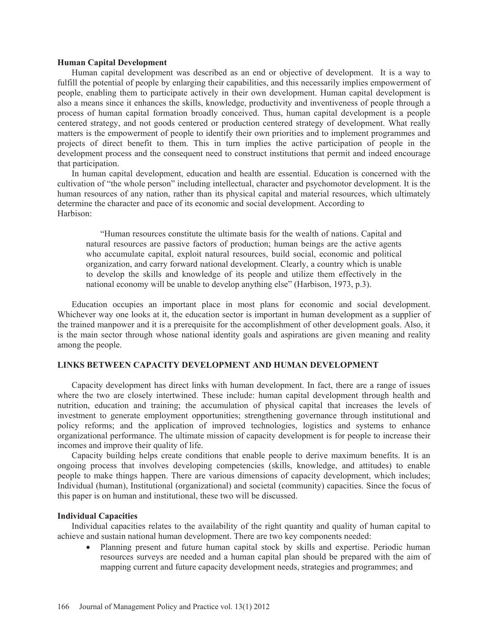#### **Human Capital Development**

Human capital development was described as an end or objective of development. It is a way to fulfill the potential of people by enlarging their capabilities, and this necessarily implies empowerment of people, enabling them to participate actively in their own development. Human capital development is also a means since it enhances the skills, knowledge, productivity and inventiveness of people through a process of human capital formation broadly conceived. Thus, human capital development is a people centered strategy, and not goods centered or production centered strategy of development. What really matters is the empowerment of people to identify their own priorities and to implement programmes and projects of direct benefit to them. This in turn implies the active participation of people in the development process and the consequent need to construct institutions that permit and indeed encourage that participation.

In human capital development, education and health are essential. Education is concerned with the cultivation of "the whole person" including intellectual, character and psychomotor development. It is the human resources of any nation, rather than its physical capital and material resources, which ultimately determine the character and pace of its economic and social development. According to Harbison:

"Human resources constitute the ultimate basis for the wealth of nations. Capital and natural resources are passive factors of production; human beings are the active agents who accumulate capital, exploit natural resources, build social, economic and political organization, and carry forward national development. Clearly, a country which is unable to develop the skills and knowledge of its people and utilize them effectively in the national economy will be unable to develop anything else" (Harbison, 1973, p.3).

Education occupies an important place in most plans for economic and social development. Whichever way one looks at it, the education sector is important in human development as a supplier of the trained manpower and it is a prerequisite for the accomplishment of other development goals. Also, it is the main sector through whose national identity goals and aspirations are given meaning and reality among the people.

## **LINKS BETWEEN CAPACITY DEVELOPMENT AND HUMAN DEVELOPMENT**

Capacity development has direct links with human development. In fact, there are a range of issues where the two are closely intertwined. These include: human capital development through health and nutrition, education and training; the accumulation of physical capital that increases the levels of investment to generate employment opportunities; strengthening governance through institutional and policy reforms; and the application of improved technologies, logistics and systems to enhance organizational performance. The ultimate mission of capacity development is for people to increase their incomes and improve their quality of life.

Capacity building helps create conditions that enable people to derive maximum benefits. It is an ongoing process that involves developing competencies (skills, knowledge, and attitudes) to enable people to make things happen. There are various dimensions of capacity development, which includes; Individual (human), Institutional (organizational) and societal (community) capacities. Since the focus of this paper is on human and institutional, these two will be discussed.

#### **Individual Capacities**

Individual capacities relates to the availability of the right quantity and quality of human capital to achieve and sustain national human development. There are two key components needed:

Planning present and future human capital stock by skills and expertise. Periodic human resources surveys are needed and a human capital plan should be prepared with the aim of mapping current and future capacity development needs, strategies and programmes; and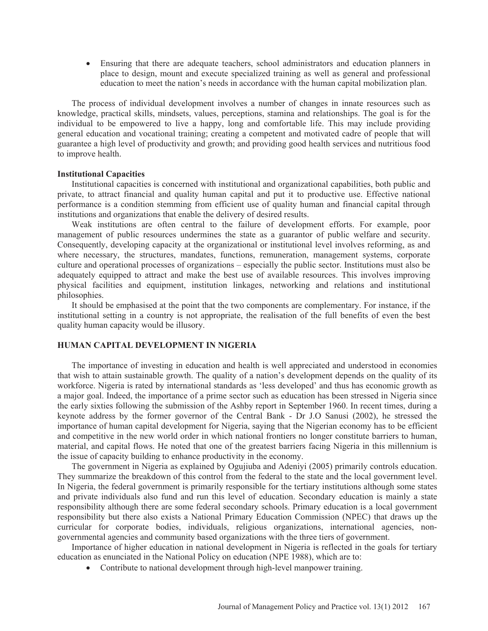• Ensuring that there are adequate teachers, school administrators and education planners in place to design, mount and execute specialized training as well as general and professional education to meet the nation's needs in accordance with the human capital mobilization plan.

The process of individual development involves a number of changes in innate resources such as knowledge, practical skills, mindsets, values, perceptions, stamina and relationships. The goal is for the individual to be empowered to live a happy, long and comfortable life. This may include providing general education and vocational training; creating a competent and motivated cadre of people that will guarantee a high level of productivity and growth; and providing good health services and nutritious food to improve health.

#### **Institutional Capacities**

Institutional capacities is concerned with institutional and organizational capabilities, both public and private, to attract financial and quality human capital and put it to productive use. Effective national performance is a condition stemming from efficient use of quality human and financial capital through institutions and organizations that enable the delivery of desired results.

Weak institutions are often central to the failure of development efforts. For example, poor management of public resources undermines the state as a guarantor of public welfare and security. Consequently, developing capacity at the organizational or institutional level involves reforming, as and where necessary, the structures, mandates, functions, remuneration, management systems, corporate culture and operational processes of organizations – especially the public sector. Institutions must also be adequately equipped to attract and make the best use of available resources. This involves improving physical facilities and equipment, institution linkages, networking and relations and institutional philosophies.

It should be emphasised at the point that the two components are complementary. For instance, if the institutional setting in a country is not appropriate, the realisation of the full benefits of even the best quality human capacity would be illusory.

#### **HUMAN CAPITAL DEVELOPMENT IN NIGERIA**

The importance of investing in education and health is well appreciated and understood in economies that wish to attain sustainable growth. The quality of a nation's development depends on the quality of its workforce. Nigeria is rated by international standards as 'less developed' and thus has economic growth as a major goal. Indeed, the importance of a prime sector such as education has been stressed in Nigeria since the early sixties following the submission of the Ashby report in September 1960. In recent times, during a keynote address by the former governor of the Central Bank - Dr J.O Sanusi (2002), he stressed the importance of human capital development for Nigeria, saying that the Nigerian economy has to be efficient and competitive in the new world order in which national frontiers no longer constitute barriers to human, material, and capital flows. He noted that one of the greatest barriers facing Nigeria in this millennium is the issue of capacity building to enhance productivity in the economy.

The government in Nigeria as explained by Ogujiuba and Adeniyi (2005) primarily controls education. They summarize the breakdown of this control from the federal to the state and the local government level. In Nigeria, the federal government is primarily responsible for the tertiary institutions although some states and private individuals also fund and run this level of education. Secondary education is mainly a state responsibility although there are some federal secondary schools. Primary education is a local government responsibility but there also exists a National Primary Education Commission (NPEC) that draws up the curricular for corporate bodies, individuals, religious organizations, international agencies, nongovernmental agencies and community based organizations with the three tiers of government.

Importance of higher education in national development in Nigeria is reflected in the goals for tertiary education as enunciated in the National Policy on education (NPE 1988), which are to:

• Contribute to national development through high-level manpower training.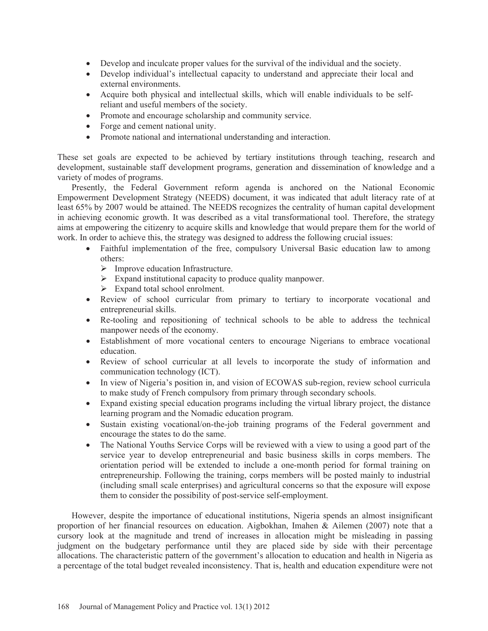- Develop and inculcate proper values for the survival of the individual and the society.
- Develop individual's intellectual capacity to understand and appreciate their local and external environments.
- Acquire both physical and intellectual skills, which will enable individuals to be selfreliant and useful members of the society.
- Promote and encourage scholarship and community service.
- Forge and cement national unity.
- Promote national and international understanding and interaction.

These set goals are expected to be achieved by tertiary institutions through teaching, research and development, sustainable staff development programs, generation and dissemination of knowledge and a variety of modes of programs.

Presently, the Federal Government reform agenda is anchored on the National Economic Empowerment Development Strategy (NEEDS) document, it was indicated that adult literacy rate of at least 65% by 2007 would be attained. The NEEDS recognizes the centrality of human capital development in achieving economic growth. It was described as a vital transformational tool. Therefore, the strategy aims at empowering the citizenry to acquire skills and knowledge that would prepare them for the world of work. In order to achieve this, the strategy was designed to address the following crucial issues:

- Faithful implementation of the free, compulsory Universal Basic education law to among others:
	- ¾ Improve education Infrastructure.
	- $\triangleright$  Expand institutional capacity to produce quality manpower.
	- $\triangleright$  Expand total school enrolment.
- Review of school curricular from primary to tertiary to incorporate vocational and entrepreneurial skills.
- Re-tooling and repositioning of technical schools to be able to address the technical manpower needs of the economy.
- Establishment of more vocational centers to encourage Nigerians to embrace vocational education.
- Review of school curricular at all levels to incorporate the study of information and communication technology (ICT).
- In view of Nigeria's position in, and vision of ECOWAS sub-region, review school curricula to make study of French compulsory from primary through secondary schools.
- Expand existing special education programs including the virtual library project, the distance learning program and the Nomadic education program.
- Sustain existing vocational/on-the-job training programs of the Federal government and encourage the states to do the same.
- The National Youths Service Corps will be reviewed with a view to using a good part of the service year to develop entrepreneurial and basic business skills in corps members. The orientation period will be extended to include a one-month period for formal training on entrepreneurship. Following the training, corps members will be posted mainly to industrial (including small scale enterprises) and agricultural concerns so that the exposure will expose them to consider the possibility of post-service self-employment.

However, despite the importance of educational institutions, Nigeria spends an almost insignificant proportion of her financial resources on education. Aigbokhan, Imahen & Ailemen (2007) note that a cursory look at the magnitude and trend of increases in allocation might be misleading in passing judgment on the budgetary performance until they are placed side by side with their percentage allocations. The characteristic pattern of the government's allocation to education and health in Nigeria as a percentage of the total budget revealed inconsistency. That is, health and education expenditure were not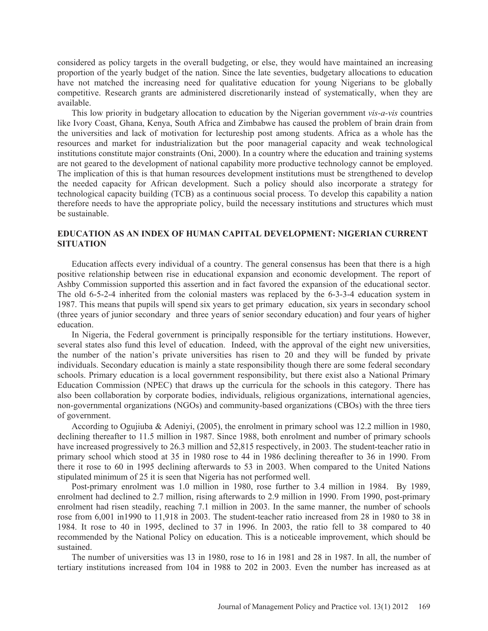considered as policy targets in the overall budgeting, or else, they would have maintained an increasing proportion of the yearly budget of the nation. Since the late seventies, budgetary allocations to education have not matched the increasing need for qualitative education for young Nigerians to be globally competitive. Research grants are administered discretionarily instead of systematically, when they are available.

This low priority in budgetary allocation to education by the Nigerian government *vis-a-vis* countries like Ivory Coast, Ghana, Kenya, South Africa and Zimbabwe has caused the problem of brain drain from the universities and lack of motivation for lectureship post among students. Africa as a whole has the resources and market for industrialization but the poor managerial capacity and weak technological institutions constitute major constraints (Oni, 2000). In a country where the education and training systems are not geared to the development of national capability more productive technology cannot be employed. The implication of this is that human resources development institutions must be strengthened to develop the needed capacity for African development. Such a policy should also incorporate a strategy for technological capacity building (TCB) as a continuous social process. To develop this capability a nation therefore needs to have the appropriate policy, build the necessary institutions and structures which must be sustainable.

# **EDUCATION AS AN INDEX OF HUMAN CAPITAL DEVELOPMENT: NIGERIAN CURRENT SITUATION**

Education affects every individual of a country. The general consensus has been that there is a high positive relationship between rise in educational expansion and economic development. The report of Ashby Commission supported this assertion and in fact favored the expansion of the educational sector. The old 6-5-2-4 inherited from the colonial masters was replaced by the 6-3-3-4 education system in 1987. This means that pupils will spend six years to get primary education, six years in secondary school (three years of junior secondary and three years of senior secondary education) and four years of higher education.

In Nigeria, the Federal government is principally responsible for the tertiary institutions. However, several states also fund this level of education. Indeed, with the approval of the eight new universities, the number of the nation's private universities has risen to 20 and they will be funded by private individuals. Secondary education is mainly a state responsibility though there are some federal secondary schools. Primary education is a local government responsibility, but there exist also a National Primary Education Commission (NPEC) that draws up the curricula for the schools in this category. There has also been collaboration by corporate bodies, individuals, religious organizations, international agencies, non-governmental organizations (NGOs) and community-based organizations (CBOs) with the three tiers of government.

According to Ogujiuba & Adeniyi, (2005), the enrolment in primary school was 12.2 million in 1980, declining thereafter to 11.5 million in 1987. Since 1988, both enrolment and number of primary schools have increased progressively to 26.3 million and 52,815 respectively, in 2003. The student-teacher ratio in primary school which stood at 35 in 1980 rose to 44 in 1986 declining thereafter to 36 in 1990. From there it rose to 60 in 1995 declining afterwards to 53 in 2003. When compared to the United Nations stipulated minimum of 25 it is seen that Nigeria has not performed well.

Post-primary enrolment was 1.0 million in 1980, rose further to 3.4 million in 1984. By 1989, enrolment had declined to 2.7 million, rising afterwards to 2.9 million in 1990. From 1990, post-primary enrolment had risen steadily, reaching 7.1 million in 2003. In the same manner, the number of schools rose from 6,001 in1990 to 11,918 in 2003. The student-teacher ratio increased from 28 in 1980 to 38 in 1984. It rose to 40 in 1995, declined to 37 in 1996. In 2003, the ratio fell to 38 compared to 40 recommended by the National Policy on education. This is a noticeable improvement, which should be sustained.

The number of universities was 13 in 1980, rose to 16 in 1981 and 28 in 1987. In all, the number of tertiary institutions increased from 104 in 1988 to 202 in 2003. Even the number has increased as at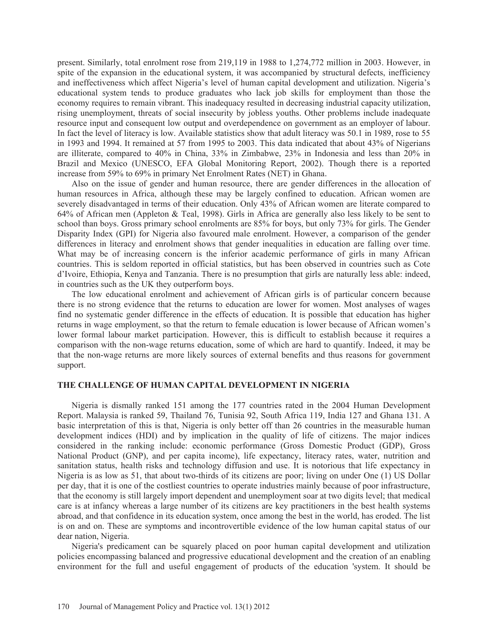present. Similarly, total enrolment rose from 219,119 in 1988 to 1,274,772 million in 2003. However, in spite of the expansion in the educational system, it was accompanied by structural defects, inefficiency and ineffectiveness which affect Nigeria's level of human capital development and utilization. Nigeria's educational system tends to produce graduates who lack job skills for employment than those the economy requires to remain vibrant. This inadequacy resulted in decreasing industrial capacity utilization, rising unemployment, threats of social insecurity by jobless youths. Other problems include inadequate resource input and consequent low output and overdependence on government as an employer of labour. In fact the level of literacy is low. Available statistics show that adult literacy was 50.1 in 1989, rose to 55 in 1993 and 1994. It remained at 57 from 1995 to 2003. This data indicated that about 43% of Nigerians are illiterate, compared to 40% in China, 33% in Zimbabwe, 23% in Indonesia and less than 20% in Brazil and Mexico (UNESCO, EFA Global Monitoring Report, 2002). Though there is a reported increase from 59% to 69% in primary Net Enrolment Rates (NET) in Ghana.

Also on the issue of gender and human resource, there are gender differences in the allocation of human resources in Africa, although these may be largely confined to education. African women are severely disadvantaged in terms of their education. Only 43% of African women are literate compared to 64% of African men (Appleton & Teal, 1998). Girls in Africa are generally also less likely to be sent to school than boys. Gross primary school enrolments are 85% for boys, but only 73% for girls. The Gender Disparity Index (GPI) for Nigeria also favoured male enrolment. However, a comparison of the gender differences in literacy and enrolment shows that gender inequalities in education are falling over time. What may be of increasing concern is the inferior academic performance of girls in many African countries. This is seldom reported in official statistics, but has been observed in countries such as Cote d'Ivoire, Ethiopia, Kenya and Tanzania. There is no presumption that girls are naturally less able: indeed, in countries such as the UK they outperform boys.

The low educational enrolment and achievement of African girls is of particular concern because there is no strong evidence that the returns to education are lower for women. Most analyses of wages find no systematic gender difference in the effects of education. It is possible that education has higher returns in wage employment, so that the return to female education is lower because of African women's lower formal labour market participation. However, this is difficult to establish because it requires a comparison with the non-wage returns education, some of which are hard to quantify. Indeed, it may be that the non-wage returns are more likely sources of external benefits and thus reasons for government support.

#### **THE CHALLENGE OF HUMAN CAPITAL DEVELOPMENT IN NIGERIA**

Nigeria is dismally ranked 151 among the 177 countries rated in the 2004 Human Development Report. Malaysia is ranked 59, Thailand 76, Tunisia 92, South Africa 119, India 127 and Ghana 131. A basic interpretation of this is that, Nigeria is only better off than 26 countries in the measurable human development indices (HDI) and by implication in the quality of life of citizens. The major indices considered in the ranking include: economic performance (Gross Domestic Product (GDP), Gross National Product (GNP), and per capita income), life expectancy, literacy rates, water, nutrition and sanitation status, health risks and technology diffusion and use. It is notorious that life expectancy in Nigeria is as low as 51, that about two-thirds of its citizens are poor; living on under One (1) US Dollar per day, that it is one of the costliest countries to operate industries mainly because of poor infrastructure, that the economy is still largely import dependent and unemployment soar at two digits level; that medical care is at infancy whereas a large number of its citizens are key practitioners in the best health systems abroad, and that confidence in its education system, once among the best in the world, has eroded. The list is on and on. These are symptoms and incontrovertible evidence of the low human capital status of our dear nation, Nigeria.

Nigeria's predicament can be squarely placed on poor human capital development and utilization policies encompassing balanced and progressive educational development and the creation of an enabling environment for the full and useful engagement of products of the education 'system. It should be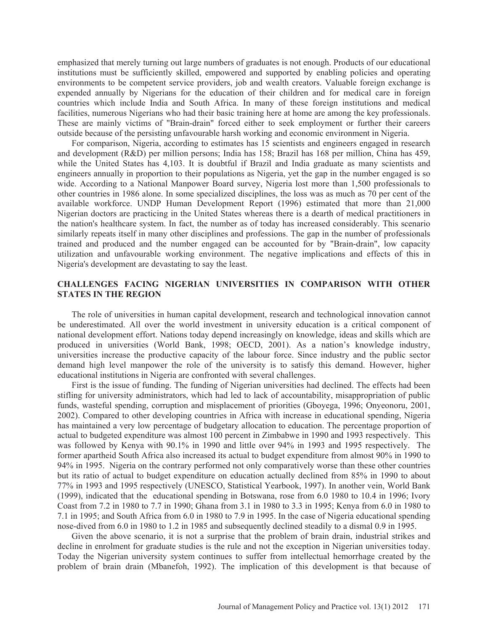emphasized that merely turning out large numbers of graduates is not enough. Products of our educational institutions must be sufficiently skilled, empowered and supported by enabling policies and operating environments to be competent service providers, job and wealth creators. Valuable foreign exchange is expended annually by Nigerians for the education of their children and for medical care in foreign countries which include India and South Africa. In many of these foreign institutions and medical facilities, numerous Nigerians who had their basic training here at home are among the key professionals. These are mainly victims of "Brain-drain" forced either to seek employment or further their careers outside because of the persisting unfavourable harsh working and economic environment in Nigeria.

For comparison, Nigeria, according to estimates has 15 scientists and engineers engaged in research and development (R&D) per million persons; India has 158; Brazil has 168 per million, China has 459, while the United States has 4,103. It is doubtful if Brazil and India graduate as many scientists and engineers annually in proportion to their populations as Nigeria, yet the gap in the number engaged is so wide. According to a National Manpower Board survey, Nigeria lost more than 1,500 professionals to other countries in 1986 alone. In some specialized disciplines, the loss was as much as 70 per cent of the available workforce. UNDP Human Development Report (1996) estimated that more than 21,000 Nigerian doctors are practicing in the United States whereas there is a dearth of medical practitioners in the nation's healthcare system. In fact, the number as of today has increased considerably. This scenario similarly repeats itself in many other disciplines and professions. The gap in the number of professionals trained and produced and the number engaged can be accounted for by "Brain-drain", low capacity utilization and unfavourable working environment. The negative implications and effects of this in Nigeria's development are devastating to say the least.

# **CHALLENGES FACING NIGERIAN UNIVERSITIES IN COMPARISON WITH OTHER STATES IN THE REGION**

The role of universities in human capital development, research and technological innovation cannot be underestimated. All over the world investment in university education is a critical component of national development effort. Nations today depend increasingly on knowledge, ideas and skills which are produced in universities (World Bank, 1998; OECD, 2001). As a nation's knowledge industry, universities increase the productive capacity of the labour force. Since industry and the public sector demand high level manpower the role of the university is to satisfy this demand. However, higher educational institutions in Nigeria are confronted with several challenges.

First is the issue of funding. The funding of Nigerian universities had declined. The effects had been stifling for university administrators, which had led to lack of accountability, misappropriation of public funds, wasteful spending, corruption and misplacement of priorities (Gboyega, 1996; Onyeonoru, 2001, 2002). Compared to other developing countries in Africa with increase in educational spending, Nigeria has maintained a very low percentage of budgetary allocation to education. The percentage proportion of actual to budgeted expenditure was almost 100 percent in Zimbabwe in 1990 and 1993 respectively. This was followed by Kenya with 90.1% in 1990 and little over 94% in 1993 and 1995 respectively. The former apartheid South Africa also increased its actual to budget expenditure from almost 90% in 1990 to 94% in 1995. Nigeria on the contrary performed not only comparatively worse than these other countries but its ratio of actual to budget expenditure on education actually declined from 85% in 1990 to about 77% in 1993 and 1995 respectively (UNESCO, Statistical Yearbook, 1997). In another vein, World Bank (1999), indicated that the educational spending in Botswana, rose from 6.0 1980 to 10.4 in 1996; Ivory Coast from 7.2 in 1980 to 7.7 in 1990; Ghana from 3.1 in 1980 to 3.3 in 1995; Kenya from 6.0 in 1980 to 7.1 in 1995; and South Africa from 6.0 in 1980 to 7.9 in 1995. In the case of Nigeria educational spending nose-dived from 6.0 in 1980 to 1.2 in 1985 and subsequently declined steadily to a dismal 0.9 in 1995.

Given the above scenario, it is not a surprise that the problem of brain drain, industrial strikes and decline in enrolment for graduate studies is the rule and not the exception in Nigerian universities today. Today the Nigerian university system continues to suffer from intellectual hemorrhage created by the problem of brain drain (Mbanefoh, 1992). The implication of this development is that because of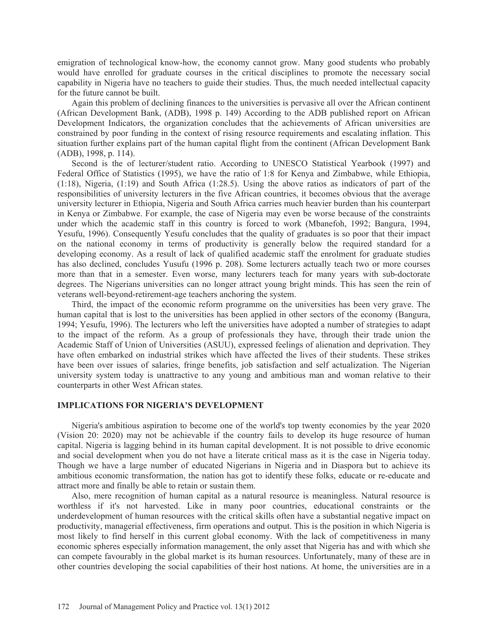emigration of technological know-how, the economy cannot grow. Many good students who probably would have enrolled for graduate courses in the critical disciplines to promote the necessary social capability in Nigeria have no teachers to guide their studies. Thus, the much needed intellectual capacity for the future cannot be built.

Again this problem of declining finances to the universities is pervasive all over the African continent (African Development Bank, (ADB), 1998 p. 149) According to the ADB published report on African Development Indicators, the organization concludes that the achievements of African universities are constrained by poor funding in the context of rising resource requirements and escalating inflation. This situation further explains part of the human capital flight from the continent (African Development Bank (ADB), 1998, p. 114).

Second is the of lecturer/student ratio. According to UNESCO Statistical Yearbook (1997) and Federal Office of Statistics (1995), we have the ratio of 1:8 for Kenya and Zimbabwe, while Ethiopia, (1:18), Nigeria, (1:19) and South Africa (1:28.5). Using the above ratios as indicators of part of the responsibilities of university lecturers in the five African countries, it becomes obvious that the average university lecturer in Ethiopia, Nigeria and South Africa carries much heavier burden than his counterpart in Kenya or Zimbabwe. For example, the case of Nigeria may even be worse because of the constraints under which the academic staff in this country is forced to work (Mbanefoh, 1992; Bangura, 1994, Yesufu, 1996). Consequently Yesufu concludes that the quality of graduates is so poor that their impact on the national economy in terms of productivity is generally below the required standard for a developing economy. As a result of lack of qualified academic staff the enrolment for graduate studies has also declined, concludes Yusufu (1996 p. 208). Some lecturers actually teach two or more courses more than that in a semester. Even worse, many lecturers teach for many years with sub-doctorate degrees. The Nigerians universities can no longer attract young bright minds. This has seen the rein of veterans well-beyond-retirement-age teachers anchoring the system.

Third, the impact of the economic reform programme on the universities has been very grave. The human capital that is lost to the universities has been applied in other sectors of the economy (Bangura, 1994; Yesufu, 1996). The lecturers who left the universities have adopted a number of strategies to adapt to the impact of the reform. As a group of professionals they have, through their trade union the Academic Staff of Union of Universities (ASUU), expressed feelings of alienation and deprivation. They have often embarked on industrial strikes which have affected the lives of their students. These strikes have been over issues of salaries, fringe benefits, job satisfaction and self actualization. The Nigerian university system today is unattractive to any young and ambitious man and woman relative to their counterparts in other West African states.

## **IMPLICATIONS FOR NIGERIA'S DEVELOPMENT**

Nigeria's ambitious aspiration to become one of the world's top twenty economies by the year 2020 (Vision 20: 2020) may not be achievable if the country fails to develop its huge resource of human capital. Nigeria is lagging behind in its human capital development. It is not possible to drive economic and social development when you do not have a literate critical mass as it is the case in Nigeria today. Though we have a large number of educated Nigerians in Nigeria and in Diaspora but to achieve its ambitious economic transformation, the nation has got to identify these folks, educate or re-educate and attract more and finally be able to retain or sustain them.

Also, mere recognition of human capital as a natural resource is meaningless. Natural resource is worthless if it's not harvested. Like in many poor countries, educational constraints or the underdevelopment of human resources with the critical skills often have a substantial negative impact on productivity, managerial effectiveness, firm operations and output. This is the position in which Nigeria is most likely to find herself in this current global economy. With the lack of competitiveness in many economic spheres especially information management, the only asset that Nigeria has and with which she can compete favourably in the global market is its human resources. Unfortunately, many of these are in other countries developing the social capabilities of their host nations. At home, the universities are in a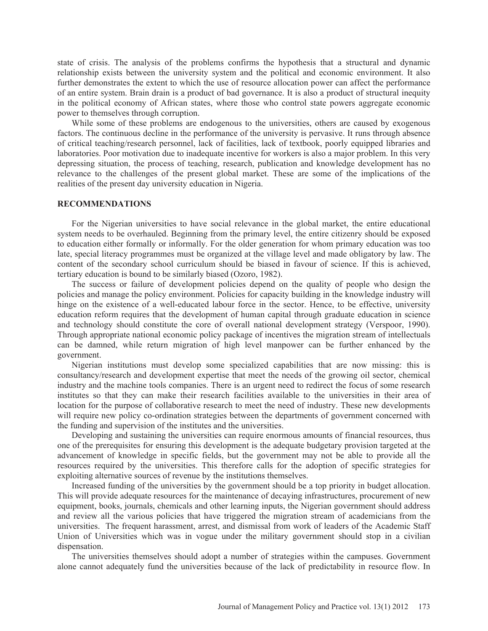state of crisis. The analysis of the problems confirms the hypothesis that a structural and dynamic relationship exists between the university system and the political and economic environment. It also further demonstrates the extent to which the use of resource allocation power can affect the performance of an entire system. Brain drain is a product of bad governance. It is also a product of structural inequity in the political economy of African states, where those who control state powers aggregate economic power to themselves through corruption.

While some of these problems are endogenous to the universities, others are caused by exogenous factors. The continuous decline in the performance of the university is pervasive. It runs through absence of critical teaching/research personnel, lack of facilities, lack of textbook, poorly equipped libraries and laboratories. Poor motivation due to inadequate incentive for workers is also a major problem. In this very depressing situation, the process of teaching, research, publication and knowledge development has no relevance to the challenges of the present global market. These are some of the implications of the realities of the present day university education in Nigeria.

#### **RECOMMENDATIONS**

For the Nigerian universities to have social relevance in the global market, the entire educational system needs to be overhauled. Beginning from the primary level, the entire citizenry should be exposed to education either formally or informally. For the older generation for whom primary education was too late, special literacy programmes must be organized at the village level and made obligatory by law. The content of the secondary school curriculum should be biased in favour of science. If this is achieved, tertiary education is bound to be similarly biased (Ozoro, 1982).

The success or failure of development policies depend on the quality of people who design the policies and manage the policy environment. Policies for capacity building in the knowledge industry will hinge on the existence of a well-educated labour force in the sector. Hence, to be effective, university education reform requires that the development of human capital through graduate education in science and technology should constitute the core of overall national development strategy (Verspoor, 1990). Through appropriate national economic policy package of incentives the migration stream of intellectuals can be damned, while return migration of high level manpower can be further enhanced by the government.

Nigerian institutions must develop some specialized capabilities that are now missing: this is consultancy/research and development expertise that meet the needs of the growing oil sector, chemical industry and the machine tools companies. There is an urgent need to redirect the focus of some research institutes so that they can make their research facilities available to the universities in their area of location for the purpose of collaborative research to meet the need of industry. These new developments will require new policy co-ordination strategies between the departments of government concerned with the funding and supervision of the institutes and the universities.

Developing and sustaining the universities can require enormous amounts of financial resources, thus one of the prerequisites for ensuring this development is the adequate budgetary provision targeted at the advancement of knowledge in specific fields, but the government may not be able to provide all the resources required by the universities. This therefore calls for the adoption of specific strategies for exploiting alternative sources of revenue by the institutions themselves.

Increased funding of the universities by the government should be a top priority in budget allocation. This will provide adequate resources for the maintenance of decaying infrastructures, procurement of new equipment, books, journals, chemicals and other learning inputs, the Nigerian government should address and review all the various policies that have triggered the migration stream of academicians from the universities. The frequent harassment, arrest, and dismissal from work of leaders of the Academic Staff Union of Universities which was in vogue under the military government should stop in a civilian dispensation.

The universities themselves should adopt a number of strategies within the campuses. Government alone cannot adequately fund the universities because of the lack of predictability in resource flow. In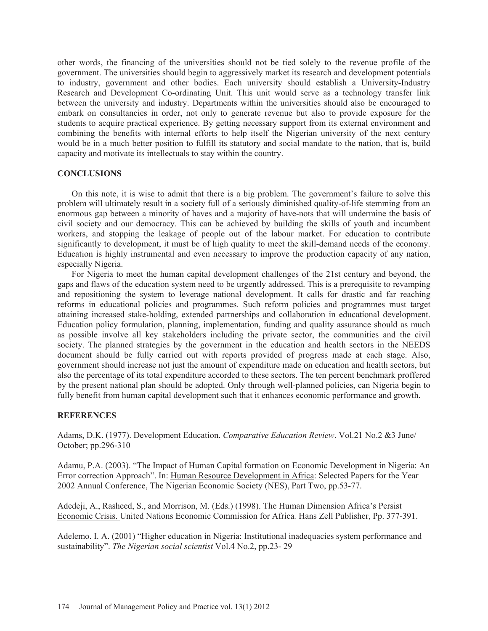other words, the financing of the universities should not be tied solely to the revenue profile of the government. The universities should begin to aggressively market its research and development potentials to industry, government and other bodies. Each university should establish a University-Industry Research and Development Co-ordinating Unit. This unit would serve as a technology transfer link between the university and industry. Departments within the universities should also be encouraged to embark on consultancies in order, not only to generate revenue but also to provide exposure for the students to acquire practical experience. By getting necessary support from its external environment and combining the benefits with internal efforts to help itself the Nigerian university of the next century would be in a much better position to fulfill its statutory and social mandate to the nation, that is, build capacity and motivate its intellectuals to stay within the country.

# **CONCLUSIONS**

On this note, it is wise to admit that there is a big problem. The government's failure to solve this problem will ultimately result in a society full of a seriously diminished quality-of-life stemming from an enormous gap between a minority of haves and a majority of have-nots that will undermine the basis of civil society and our democracy. This can be achieved by building the skills of youth and incumbent workers, and stopping the leakage of people out of the labour market. For education to contribute significantly to development, it must be of high quality to meet the skill-demand needs of the economy. Education is highly instrumental and even necessary to improve the production capacity of any nation, especially Nigeria.

For Nigeria to meet the human capital development challenges of the 21st century and beyond, the gaps and flaws of the education system need to be urgently addressed. This is a prerequisite to revamping and repositioning the system to leverage national development. It calls for drastic and far reaching reforms in educational policies and programmes. Such reform policies and programmes must target attaining increased stake-holding, extended partnerships and collaboration in educational development. Education policy formulation, planning, implementation, funding and quality assurance should as much as possible involve all key stakeholders including the private sector, the communities and the civil society. The planned strategies by the government in the education and health sectors in the NEEDS document should be fully carried out with reports provided of progress made at each stage. Also, government should increase not just the amount of expenditure made on education and health sectors, but also the percentage of its total expenditure accorded to these sectors. The ten percent benchmark proffered by the present national plan should be adopted. Only through well-planned policies, can Nigeria begin to fully benefit from human capital development such that it enhances economic performance and growth.

### **REFERENCES**

Adams, D.K. (1977). Development Education. *Comparative Education Review*. Vol.21 No.2 &3 June/ October; pp.296-310

Adamu, P.A. (2003). "The Impact of Human Capital formation on Economic Development in Nigeria: An Error correction Approach". In: Human Resource Development in Africa: Selected Papers for the Year 2002 Annual Conference, The Nigerian Economic Society (NES), Part Two, pp.53-77.

Adedeji, A., Rasheed, S., and Morrison, M. (Eds.) (1998). The Human Dimension Africa's Persist Economic Crisis. United Nations Economic Commission for Africa*.* Hans Zell Publisher, Pp. 377-391.

Adelemo. I. A. (2001) "Higher education in Nigeria: Institutional inadequacies system performance and sustainability". *The Nigerian social scientist* Vol.4 No.2, pp.23- 29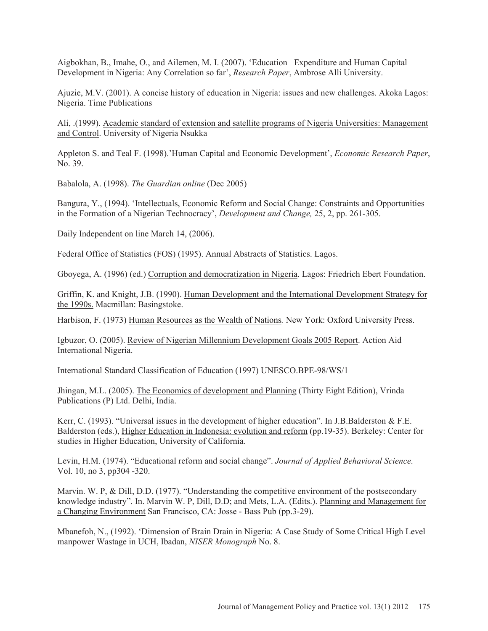Aigbokhan, B., Imahe, O., and Ailemen, M. I. (2007). 'Education Expenditure and Human Capital Development in Nigeria: Any Correlation so far', *Research Paper*, Ambrose Alli University.

Ajuzie, M.V. (2001). A concise history of education in Nigeria: issues and new challenges. Akoka Lagos: Nigeria. Time Publications

Ali, .(1999). Academic standard of extension and satellite programs of Nigeria Universities: Management and Control. University of Nigeria Nsukka

Appleton S. and Teal F. (1998).'Human Capital and Economic Development', *Economic Research Paper*, No. 39.

Babalola, A. (1998). *The Guardian online* (Dec 2005)

Bangura, Y., (1994). 'Intellectuals, Economic Reform and Social Change: Constraints and Opportunities in the Formation of a Nigerian Technocracy', *Development and Change,* 25, 2, pp. 261-305.

Daily Independent on line March 14, (2006).

Federal Office of Statistics (FOS) (1995). Annual Abstracts of Statistics. Lagos.

Gboyega, A. (1996) (ed.) Corruption and democratization in Nigeria. Lagos: Friedrich Ebert Foundation.

Griffin, K. and Knight, J.B. (1990). Human Development and the International Development Strategy for the 1990s. Macmillan: Basingstoke.

Harbison, F. (1973) Human Resources as the Wealth of Nations*.* New York: Oxford University Press.

Igbuzor, O. (2005). Review of Nigerian Millennium Development Goals 2005 Report. Action Aid International Nigeria.

International Standard Classification of Education (1997) UNESCO.BPE-98/WS/1

Jhingan, M.L. (2005). The Economics of development and Planning (Thirty Eight Edition), Vrinda Publications (P) Ltd. Delhi, India.

Kerr, C. (1993). "Universal issues in the development of higher education". In J.B.Balderston & F.E. Balderston (eds.), Higher Education in Indonesia: evolution and reform (pp.19-35). Berkeley: Center for studies in Higher Education, University of California.

Levin, H.M. (1974). "Educational reform and social change". *Journal of Applied Behavioral Science*. Vol. 10, no 3, pp304 -320.

Marvin. W. P, & Dill, D.D. (1977). "Understanding the competitive environment of the postsecondary knowledge industry". In. Marvin W. P, Dill, D.D; and Mets, L.A. (Edits.). Planning and Management for a Changing Environment San Francisco, CA: Josse - Bass Pub (pp.3-29).

Mbanefoh, N., (1992). 'Dimension of Brain Drain in Nigeria: A Case Study of Some Critical High Level manpower Wastage in UCH, Ibadan, *NISER Monograph* No. 8.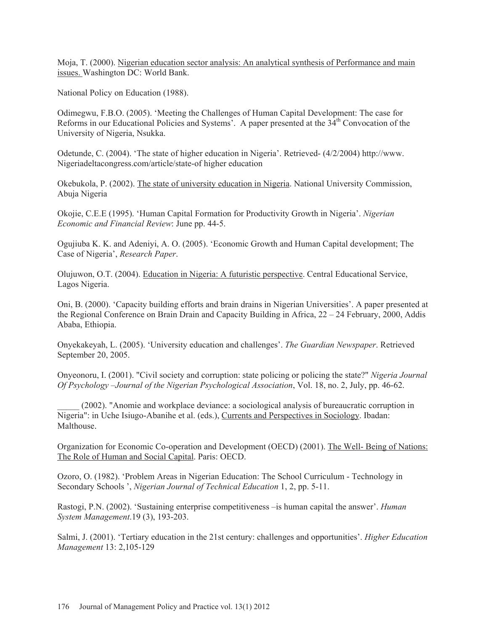Moja, T. (2000). Nigerian education sector analysis: An analytical synthesis of Performance and main issues. Washington DC: World Bank.

National Policy on Education (1988).

Odimegwu, F.B.O. (2005). 'Meeting the Challenges of Human Capital Development: The case for Reforms in our Educational Policies and Systems'. A paper presented at the  $3\hat{4}^{th}$  Convocation of the University of Nigeria, Nsukka.

Odetunde, C. (2004). 'The state of higher education in Nigeria'. Retrieved- (4/2/2004) http://www. Nigeriadeltacongress.com/article/state-of higher education

Okebukola, P. (2002). The state of university education in Nigeria. National University Commission, Abuja Nigeria

Okojie, C.E.E (1995). 'Human Capital Formation for Productivity Growth in Nigeria'. *Nigerian Economic and Financial Review*: June pp. 44-5.

Ogujiuba K. K. and Adeniyi, A. O. (2005). 'Economic Growth and Human Capital development; The Case of Nigeria', *Research Paper*.

Olujuwon, O.T. (2004). Education in Nigeria: A futuristic perspective. Central Educational Service, Lagos Nigeria.

Oni, B. (2000). 'Capacity building efforts and brain drains in Nigerian Universities'. A paper presented at the Regional Conference on Brain Drain and Capacity Building in Africa, 22 – 24 February, 2000, Addis Ababa, Ethiopia.

Onyekakeyah, L. (2005). 'University education and challenges'. *The Guardian Newspaper*. Retrieved September 20, 2005.

Onyeonoru, I. (2001). "Civil society and corruption: state policing or policing the state?" *Nigeria Journal Of Psychology –Journal of the Nigerian Psychological Association*, Vol. 18, no. 2, July, pp. 46-62.

\_\_\_\_\_ (2002). "Anomie and workplace deviance: a sociological analysis of bureaucratic corruption in Nigeria": in Uche Isiugo-Abanihe et al. (eds.), Currents and Perspectives in Sociology. Ibadan: Malthouse.

Organization for Economic Co-operation and Development (OECD) (2001). The Well- Being of Nations: The Role of Human and Social Capital. Paris: OECD.

Ozoro, O. (1982). 'Problem Areas in Nigerian Education: The School Curriculum - Technology in Secondary Schools ', *Nigerian Journal of Technical Education* 1, 2, pp. 5-11.

Rastogi, P.N. (2002). 'Sustaining enterprise competitiveness –is human capital the answer'. *Human System Management*.19 (3), 193-203.

Salmi, J. (2001). 'Tertiary education in the 21st century: challenges and opportunities'. *Higher Education Management* 13: 2,105-129